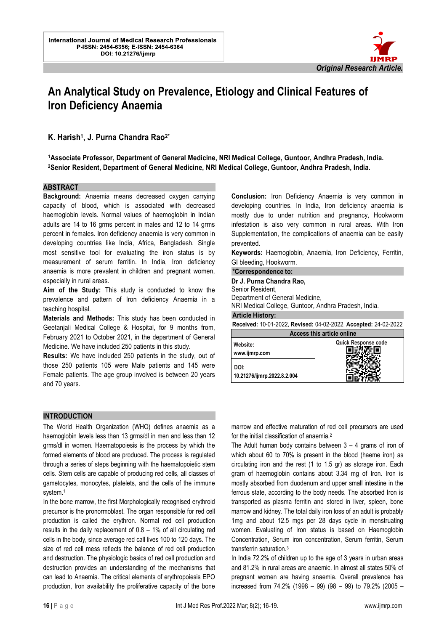

# **An Analytical Study on Prevalence, Etiology and Clinical Features of Iron Deficiency Anaemia**

l.

## **K. Harish<sup>1</sup> , J. Purna Chandra Rao2\***

**<sup>1</sup>Associate Professor, Department of General Medicine, NRI Medical College, Guntoor, Andhra Pradesh, India. <sup>2</sup>Senior Resident, Department of General Medicine, NRI Medical College, Guntoor, Andhra Pradesh, India.** 

#### **ABSTRACT**

**Background:** Anaemia means decreased oxygen carrying capacity of blood, which is associated with decreased haemoglobin levels. Normal values of haemoglobin in Indian adults are 14 to 16 grms percent in males and 12 to 14 grms percent in females. Iron deficiency anaemia is very common in developing countries like India, Africa, Bangladesh. Single most sensitive tool for evaluating the iron status is by measurement of serum ferritin. In India, Iron deficiency anaemia is more prevalent in children and pregnant women, especially in rural areas.

**Aim of the Study:** This study is conducted to know the prevalence and pattern of Iron deficiency Anaemia in a teaching hospital.

**Materials and Methods:** This study has been conducted in Geetanjali Medical College & Hospital, for 9 months from, February 2021 to October 2021, in the department of General Medicine. We have included 250 patients in this study.

**Results:** We have included 250 patients in the study, out of those 250 patients 105 were Male patients and 145 were Female patients. The age group involved is between 20 years and 70 years.

**Conclusion:** Iron Deficiency Anaemia is very common in developing countries. In India, Iron deficiency anaemia is mostly due to under nutrition and pregnancy, Hookworm infestation is also very common in rural areas. With Iron Supplementation, the complications of anaemia can be easily prevented.

**Keywords:** Haemoglobin, Anaemia, Iron Deficiency, Ferritin, GI bleeding, Hookworm.

#### **\*Correspondence to:**

**Dr J. Purna Chandra Rao,**  Senior Resident, Department of General Medicine,

NRI Medical College, Guntoor, Andhra Pradesh, India.

#### **Article History:**

**Received:** 10-01-2022, **Revised:** 04-02-2022, **Accepted:** 24-02-2022

| <b>Access this article online</b>   |                            |  |  |
|-------------------------------------|----------------------------|--|--|
| Website:<br>www.ijmrp.com           | <b>Quick Response code</b> |  |  |
| DOI:<br>10.21276/ijmrp.2022.8.2.004 |                            |  |  |

#### **INTRODUCTION**

The World Health Organization (WHO) defines anaemia as a haemoglobin levels less than 13 grms/dl in men and less than 12 grms/dl in women. Haematopoiesis is the process by which the formed elements of blood are produced. The process is regulated through a series of steps beginning with the haematopoietic stem cells. Stem cells are capable of producing red cells, all classes of gametocytes, monocytes, platelets, and the cells of the immune system.<sup>1</sup>

In the bone marrow, the first Morphologically recognised erythroid precursor is the pronormoblast. The organ responsible for red cell production is called the erythron. Normal red cell production results in the daily replacement of 0.8 – 1% of all circulating red cells in the body, since average red call lives 100 to 120 days. The size of red cell mess reflects the balance of red cell production and destruction. The physiologic basics of red cell production and destruction provides an understanding of the mechanisms that can lead to Anaemia. The critical elements of erythropoiesis EPO production, Iron availability the proliferative capacity of the bone

marrow and effective maturation of red cell precursors are used for the initial classification of anaemia.<sup>2</sup>

The Adult human body contains between  $3 - 4$  grams of iron of which about 60 to 70% is present in the blood (haeme iron) as circulating iron and the rest (1 to 1.5 gr) as storage iron. Each gram of haemoglobin contains about 3.34 mg of Iron. Iron is mostly absorbed from duodenum and upper small intestine in the ferrous state, according to the body needs. The absorbed Iron is transported as plasma ferritin and stored in liver, spleen, bone marrow and kidney. The total daily iron loss of an adult is probably 1mg and about 12.5 mgs per 28 days cycle in menstruating women. Evaluating of Iron status is based on Haemoglobin Concentration, Serum iron concentration, Serum ferritin, Serum transferrin saturation.<sup>3</sup>

In India 72.2% of children up to the age of 3 years in urban areas and 81.2% in rural areas are anaemic. In almost all states 50% of pregnant women are having anaemia. Overall prevalence has increased from 74.2% (1998 – 99) (98 – 99) to 79.2% (2005 –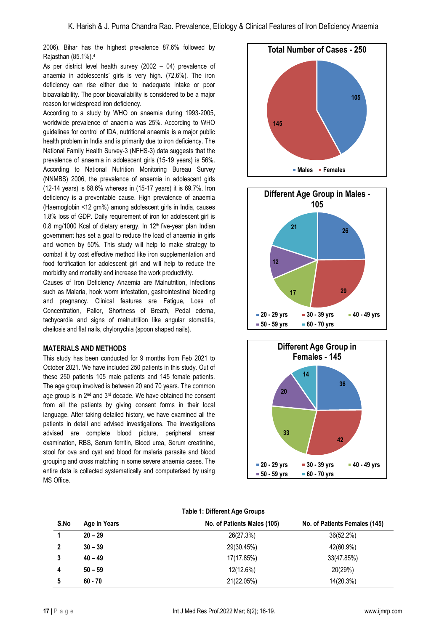2006). Bihar has the highest prevalence 87.6% followed by Rajasthan (85.1%).<sup>4</sup>

As per district level health survey (2002 – 04) prevalence of anaemia in adolescents' girls is very high. (72.6%). The iron deficiency can rise either due to inadequate intake or poor bioavailability. The poor bioavailability is considered to be a major reason for widespread iron deficiency.

According to a study by WHO on anaemia during 1993-2005, worldwide prevalence of anaemia was 25%. According to WHO guidelines for control of IDA, nutritional anaemia is a major public health problem in India and is primarily due to iron deficiency. The National Family Health Survey-3 (NFHS-3) data suggests that the prevalence of anaemia in adolescent girls (15-19 years) is 56%. According to National Nutrition Monitoring Bureau Survey (NNMBS) 2006, the prevalence of anaemia in adolescent girls (12-14 years) is 68.6% whereas in (15-17 years) it is 69.7%. Iron deficiency is a preventable cause. High prevalence of anaemia (Haemoglobin <12 gm%) among adolescent girls in India, causes 1.8% loss of GDP. Daily requirement of iron for adolescent girl is 0.8 mg/1000 Kcal of dietary energy. In 12<sup>th</sup> five-year plan Indian government has set a goal to reduce the load of anaemia in girls and women by 50%. This study will help to make strategy to combat it by cost effective method like iron supplementation and food fortification for adolescent girl and will help to reduce the morbidity and mortality and increase the work productivity.

Causes of Iron Deficiency Anaemia are Malnutrition, Infections such as Malaria, hook worm infestation, gastrointestinal bleeding and pregnancy. Clinical features are Fatigue, Loss of Concentration, Pallor, Shortness of Breath, Pedal edema, tachycardia and signs of malnutrition like angular stomatitis, cheilosis and flat nails, chylonychia (spoon shaped nails).

#### **MATERIALS AND METHODS**

This study has been conducted for 9 months from Feb 2021 to October 2021. We have included 250 patients in this study. Out of these 250 patients 105 male patients and 145 female patients. The age group involved is between 20 and 70 years. The common age group is in 2<sup>nd</sup> and 3<sup>rd</sup> decade. We have obtained the consent from all the patients by giving consent forms in their local language. After taking detailed history, we have examined all the patients in detail and advised investigations. The investigations advised are complete blood picture, peripheral smear examination, RBS, Serum ferritin, Blood urea, Serum creatinine, stool for ova and cyst and blood for malaria parasite and blood grouping and cross matching in some severe anaemia cases. The entire data is collected systematically and computerised by using MS Office.







|  |  | <b>Table 1: Different Age Groups</b> |  |  |
|--|--|--------------------------------------|--|--|
|--|--|--------------------------------------|--|--|

| S.No | Age In Years | No. of Patients Males (105) | No. of Patients Females (145) |
|------|--------------|-----------------------------|-------------------------------|
|      | $20 - 29$    | 26(27.3%)                   | 36(52.2%)                     |
| 2    | $30 - 39$    | 29(30.45%)                  | 42(60.9%)                     |
|      | $40 - 49$    | 17(17.85%)                  | 33(47.85%)                    |
| 4    | $50 - 59$    | 12(12.6%)                   | 20(29%)                       |
| 5    | $60 - 70$    | 21(22.05%)                  | 14(20.3%)                     |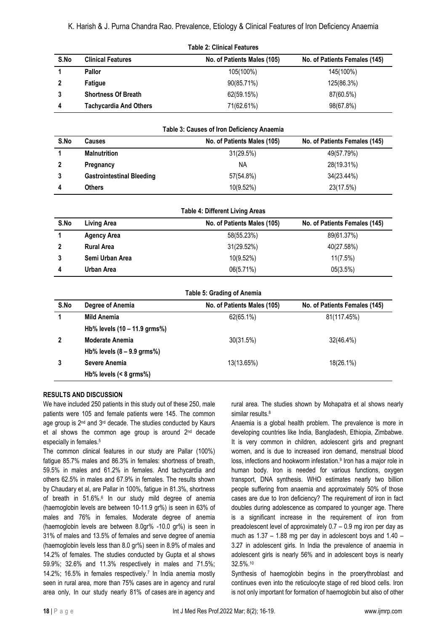| <b>Table 2: Clinical Features</b> |                               |                             |                               |
|-----------------------------------|-------------------------------|-----------------------------|-------------------------------|
| S.No                              | <b>Clinical Features</b>      | No. of Patients Males (105) | No. of Patients Females (145) |
|                                   | Pallor                        | 105(100%)                   | 145(100%)                     |
|                                   | <b>Fatique</b>                | 90(85.71%)                  | 125(86.3%)                    |
| 3                                 | <b>Shortness Of Breath</b>    | 62(59.15%)                  | 87(60.5%)                     |
| 4                                 | <b>Tachycardia And Others</b> | 71(62.61%)                  | 98(67.8%)                     |

| Table 3: Causes of Iron Deficiency Anaemia |                                  |                             |                               |
|--------------------------------------------|----------------------------------|-----------------------------|-------------------------------|
| S.No                                       | <b>Causes</b>                    | No. of Patients Males (105) | No. of Patients Females (145) |
|                                            | <b>Malnutrition</b>              | 31(29.5%)                   | 49(57.79%)                    |
|                                            | Pregnancy                        | NA.                         | 28(19.31%)                    |
| 3                                          | <b>Gastrointestinal Bleeding</b> | 57(54.8%)                   | 34(23.44%)                    |
| 4                                          | <b>Others</b>                    | 10(9.52%)                   | 23(17.5%)                     |

**Table 3: Causes of Iron Deficiency Anaemia**

| <b>Table 4: Different Living Areas</b> |                    |                             |                               |
|----------------------------------------|--------------------|-----------------------------|-------------------------------|
| S.No                                   | Living Area        | No. of Patients Males (105) | No. of Patients Females (145) |
|                                        | <b>Agency Area</b> | 58(55.23%)                  | 89(61.37%)                    |
| $\mathbf{2}$                           | <b>Rural Area</b>  | 31(29.52%)                  | 40(27.58%)                    |
| 3                                      | Semi Urban Area    | 10(9.52%)                   | 11(7.5%)                      |
| 4                                      | Urban Area         | 06(5.71%)                   | 05(3.5%)                      |

**Table 5: Grading of Anemia**

| S.No | Degree of Anemia                       | No. of Patients Males (105) | No. of Patients Females (145) |
|------|----------------------------------------|-----------------------------|-------------------------------|
|      | Mild Anemia                            | 62(65.1%)                   | 81(117.45%)                   |
|      | Hb% levels $(10 - 11.9 \text{ grams})$ |                             |                               |
|      | <b>Moderate Anemia</b>                 | 30(31.5%)                   | 32(46.4%)                     |
|      | Hb% levels $(8 - 9.9$ grms%)           |                             |                               |
|      | Severe Anemia                          | 13(13.65%)                  | 18(26.1%)                     |
|      | Hb% levels $(< 8 \text{ grms})$        |                             |                               |

## **RESULTS AND DISCUSSION**

We have included 250 patients in this study out of these 250, male patients were 105 and female patients were 145. The common age group is 2<sup>nd</sup> and 3<sup>rd</sup> decade. The studies conducted by Kaurs et al shows the common age group is around 2<sup>nd</sup> decade especially in females.<sup>5</sup>

The common clinical features in our study are Pallar (100%) fatigue 85.7% males and 86.3% in females: shortness of breath, 59.5% in males and 61.2% in females. And tachycardia and others 62.5% in males and 67.9% in females. The results shown by Chaudary et al, are Pallar in 100%, fatigue in 81.3%, shortness of breath in 51.6%.<sup>6</sup> In our study mild degree of anemia (haemoglobin levels are between 10-11.9 gr%) is seen in 63% of males and 76% in females. Moderate degree of anemia (haemoglobin levels are between 8.0gr% -10.0 gr%) is seen in 31% of males and 13.5% of females and serve degree of anemia (haemoglobin levels less than 8.0 gr%) seen in 8.9% of males and 14.2% of females. The studies conducted by Gupta et al shows 59.9%; 32.6% and 11.3% respectively in males and 71.5%; 14.2%; 16.5% in females respectively.<sup>7</sup> In India anemia mostly seen in rural area, more than 75% cases are in agency and rural area only, In our study nearly 81% of cases are in agency and

rural area. The studies shown by Mohapatra et al shows nearly similar results.<sup>8</sup>

Anaemia is a global health problem. The prevalence is more in developing countries like India, Bangladesh, Ethiopia, Zimbabwe. It is very common in children, adolescent girls and pregnant women, and is due to increased iron demand, menstrual blood loss, infections and hookworm infestation.<sup>9</sup> Iron has a major role in human body. Iron is needed for various functions, oxygen transport, DNA synthesis. WHO estimates nearly two billion people suffering from anaemia and approximately 50% of those cases are due to Iron deficiency? The requirement of iron in fact doubles during adolescence as compared to younger age. There is a significant increase in the requirement of iron from preadolescent level of approximately 0.7 – 0.9 mg iron per day as much as 1.37 – 1.88 mg per day in adolescent boys and 1.40 – 3.27 in adolescent girls. In India the prevalence of anaemia in adolescent girls is nearly 56% and in adolescent boys is nearly 32.5%.<sup>10</sup>

Synthesis of haemoglobin begins in the proerythroblast and continues even into the reticulocyte stage of red blood cells. Iron is not only important for formation of haemoglobin but also of other